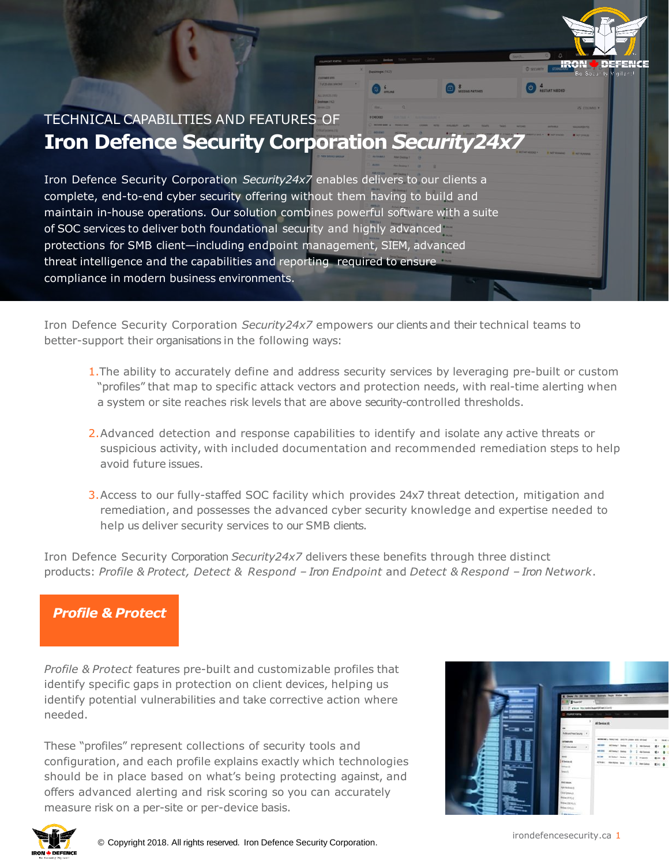

Iron Defence Security Corporation *Security24x7* empowers our clients and their technical teams to better-support their organisations in the following ways:

- 1.The ability to accurately define and address security services by leveraging pre-built or custom "profiles" that map to specific attack vectors and protection needs, with real-time alerting when a system or site reaches risk levels that are above security-controlled thresholds.
- 2.Advanced detection and response capabilities to identify and isolate any active threats or suspicious activity, with included documentation and recommended remediation steps to help avoid future issues.
- 3.Access to our fully-staffed SOC facility which provides 24x7 threat detection, mitigation and remediation, and possesses the advanced cyber security knowledge and expertise needed to help us deliver security services to our SMB clients.

Iron Defence Security Corporation *Security24x7* delivers these benefits through three distinct products: *Profile & Protect, Detect & Respond – Iron Endpoint* and *Detect & Respond – Iron Network*.

# *Profile & Protect*

*Profile & Protect* features pre-built and customizable profiles that identify specific gaps in protection on client devices, helping us identify potential vulnerabilities and take corrective action where needed.

These "profiles" represent collections of security tools and configuration, and each profile explains exactly which technologies should be in place based on what's being protecting against, and offers advanced alerting and risk scoring so you can accurately measure risk on a per-site or per-device basis.





irondefencesecurity.ca 1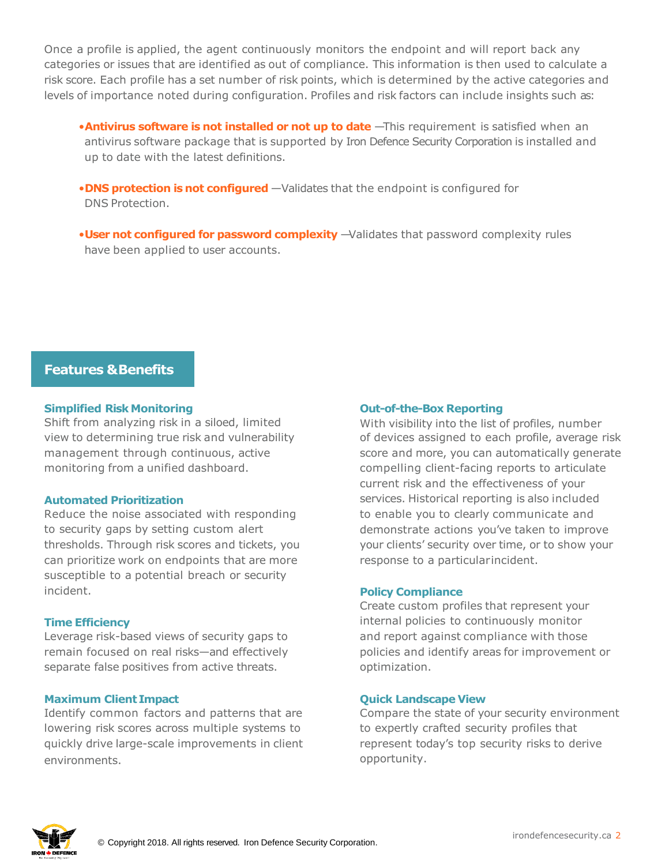Once a profile is applied, the agent continuously monitors the endpoint and will report back any categories or issues that are identified as out of compliance. This information is then used to calculate a risk score. Each profile has a set number of risk points, which is determined by the active categories and levels of importance noted during configuration. Profiles and risk factors can include insights such as:

- **•Antivirus software is not installed or not up to date** -This requirement is satisfied when an antivirus software package that is supported by Iron Defence Security Corporation is installed and up to date with the latest definitions.
- •**DNS protection is not configured** —Validates that the endpoint is configured for DNS Protection.
- •**User not configured for password complexity** —Validates that password complexity rules have been applied to user accounts.

# **Features &Benefits**

# **Simplified Risk Monitoring**

Shift from analyzing risk in a siloed, limited view to determining true risk and vulnerability management through continuous, active monitoring from a unified dashboard.

#### **Automated Prioritization**

Reduce the noise associated with responding to security gaps by setting custom alert thresholds. Through risk scores and tickets, you can prioritize work on endpoints that are more susceptible to a potential breach or security incident.

# **Time Efficiency**

Leverage risk-based views of security gaps to remain focused on real risks—and effectively separate false positives from active threats.

# **Maximum Client Impact**

Identify common factors and patterns that are lowering risk scores across multiple systems to quickly drive large-scale improvements in client environments.

# **Out-of-the-Box Reporting**

With visibility into the list of profiles, number of devices assigned to each profile, average risk score and more, you can automatically generate compelling client-facing reports to articulate current risk and the effectiveness of your services. Historical reporting is also included to enable you to clearly communicate and demonstrate actions you've taken to improve your clients' security over time, or to show your response to a particularincident.

#### **Policy Compliance**

Create custom profiles that represent your internal policies to continuously monitor and report against compliance with those policies and identify areas for improvement or optimization.

# **Quick Landscape View**

Compare the state of your security environment to expertly crafted security profiles that represent today's top security risks to derive opportunity.

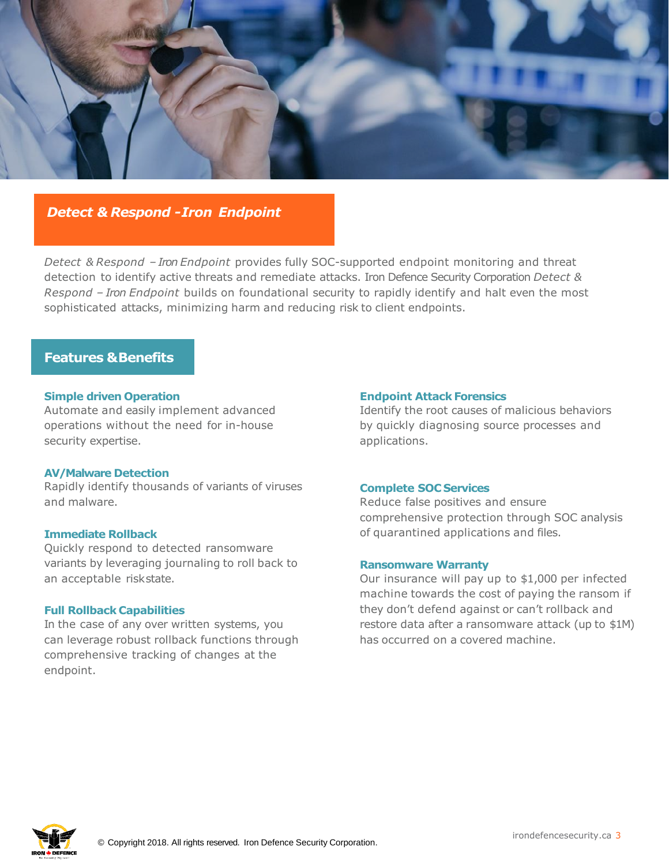

# *Detect & Respond -Iron Endpoint*

*Detect & Respond – Iron Endpoint* provides fully SOC-supported endpoint monitoring and threat detection to identify active threats and remediate attacks. Iron Defence Security Corporation *Detect & Respond – Iron Endpoint* builds on foundational security to rapidly identify and halt even the most sophisticated attacks, minimizing harm and reducing risk to client endpoints.

# **Features & Benefits**

#### **Simple driven Operation**

Automate and easily implement advanced operations without the need for in-house security expertise.

#### **AV/Malware Detection**

Rapidly identify thousands of variants of viruses and malware.

#### **Immediate Rollback**

Quickly respond to detected ransomware variants by leveraging journaling to roll back to an acceptable riskstate.

#### **Full Rollback Capabilities**

In the case of any over written systems, you can leverage robust rollback functions through comprehensive tracking of changes at the endpoint.

#### **Endpoint Attack Forensics**

Identify the root causes of malicious behaviors by quickly diagnosing source processes and applications.

#### **Complete SOC Services**

Reduce false positives and ensure comprehensive protection through SOC analysis of quarantined applications and files.

#### **Ransomware Warranty**

Our insurance will pay up to \$1,000 per infected machine towards the cost of paying the ransom if they don't defend against or can't rollback and restore data after a ransomware attack (up to \$1M) has occurred on a covered machine.